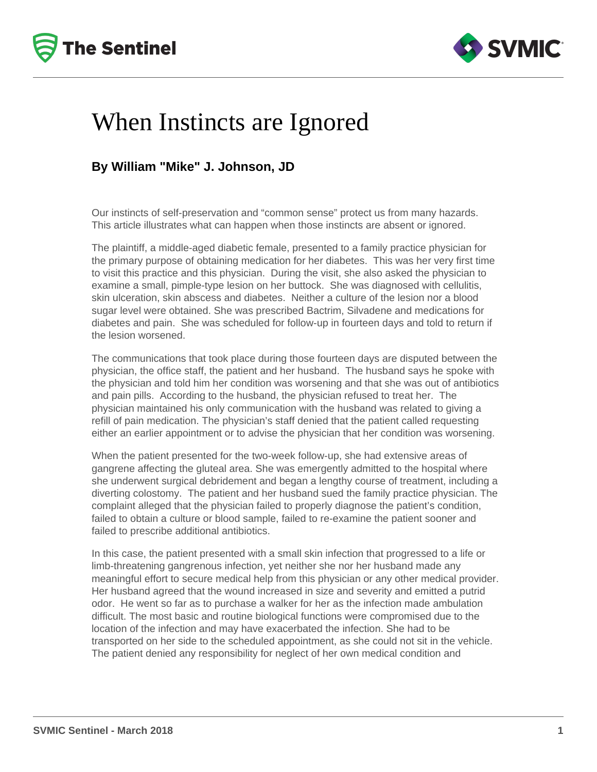



## When Instincts are Ignored

### **By William "Mike" J. Johnson, JD**

Our instincts of self-preservation and "common sense" protect us from many hazards. This article illustrates what can happen when those instincts are absent or ignored.

The plaintiff, a middle-aged diabetic female, presented to a family practice physician for the primary purpose of obtaining medication for her diabetes. This was her very first time to visit this practice and this physician. During the visit, she also asked the physician to examine a small, pimple-type lesion on her buttock. She was diagnosed with cellulitis, skin ulceration, skin abscess and diabetes. Neither a culture of the lesion nor a blood sugar level were obtained. She was prescribed Bactrim, Silvadene and medications for diabetes and pain. She was scheduled for follow-up in fourteen days and told to return if the lesion worsened.

The communications that took place during those fourteen days are disputed between the physician, the office staff, the patient and her husband. The husband says he spoke with the physician and told him her condition was worsening and that she was out of antibiotics and pain pills. According to the husband, the physician refused to treat her. The physician maintained his only communication with the husband was related to giving a refill of pain medication. The physician's staff denied that the patient called requesting either an earlier appointment or to advise the physician that her condition was worsening.

When the patient presented for the two-week follow-up, she had extensive areas of gangrene affecting the gluteal area. She was emergently admitted to the hospital where she underwent surgical debridement and began a lengthy course of treatment, including a diverting colostomy. The patient and her husband sued the family practice physician. The complaint alleged that the physician failed to properly diagnose the patient's condition, failed to obtain a culture or blood sample, failed to re-examine the patient sooner and failed to prescribe additional antibiotics.

In this case, the patient presented with a small skin infection that progressed to a life or limb-threatening gangrenous infection, yet neither she nor her husband made any meaningful effort to secure medical help from this physician or any other medical provider. Her husband agreed that the wound increased in size and severity and emitted a putrid odor. He went so far as to purchase a walker for her as the infection made ambulation difficult. The most basic and routine biological functions were compromised due to the location of the infection and may have exacerbated the infection. She had to be transported on her side to the scheduled appointment, as she could not sit in the vehicle. The patient denied any responsibility for neglect of her own medical condition and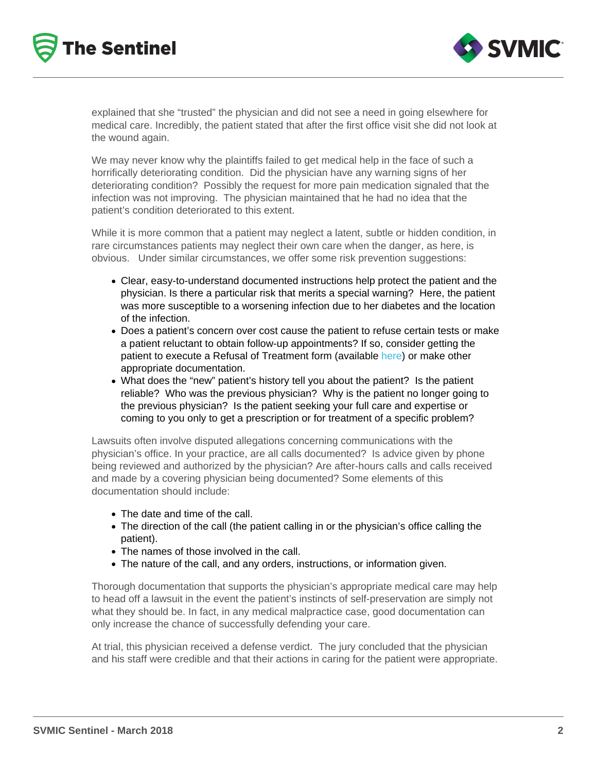explained that she "trusted" the physician and did not see a need in going elsewhere for medical care. Incredibly, the patient stated that after the first office visit she did not look at the wound again.

We may never know why the plaintiffs failed to get medical help in the face of such a horrifically deteriorating condition. Did the physician have any warning signs of her deteriorating condition? Possibly the request for more pain medication signaled that the infection was not improving. The physician maintained that he had no idea that the patient's condition deteriorated to this extent.

While it is more common that a patient may neglect a latent, subtle or hidden condition, in rare circumstances patients may neglect their own care when the danger, as here, is obvious. Under similar circumstances, we offer some risk prevention suggestions:

- Clear, easy-to-understand documented instructions help protect the patient and the physician. Is there a particular risk that merits a special warning? Here, the patient was more susceptible to a worsening infection due to her diabetes and the location of the infection.
- Does a patient's concern over cost cause the patient to refuse certain tests or make a patient reluctant to obtain follow-up appointments? If so, consider getting the patient to execute a Refusal of Treatment form (available [here](/resources/clinical-processes)) or make other appropriate documentation.
- What does the "new" patient's history tell you about the patient? Is the patient reliable? Who was the previous physician? Why is the patient no longer going to the previous physician? Is the patient seeking your full care and expertise or coming to you only to get a prescription or for treatment of a specific problem?

Lawsuits often involve disputed allegations concerning communications with the physician's office. In your practice, are all calls documented? Is advice given by phone being reviewed and authorized by the physician? Are after-hours calls and calls received and made by a covering physician being documented? Some elements of this documentation should include:

- The date and time of the call.
- The direction of the call (the patient calling in or the physician's office calling the patient).
- The names of those involved in the call.
- The nature of the call, and any orders, instructions, or information given.

Thorough documentation that supports the physician's appropriate medical care may help to head off a lawsuit in the event the patient's instincts of self-preservation are simply not what they should be. In fact, in any medical malpractice case, good documentation can only increase the chance of successfully defending your care.

At trial, this physician received a defense verdict. The jury concluded that the physician and his staff were credible and that their actions in caring for the patient were appropriate.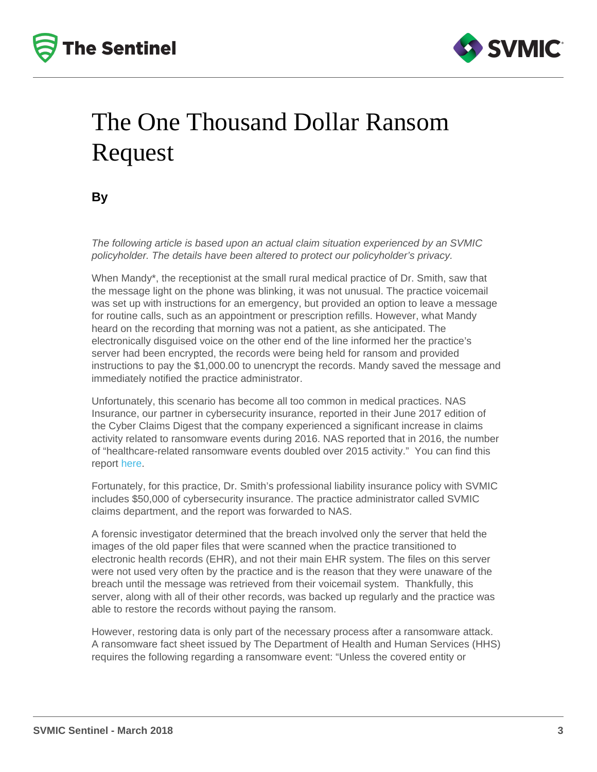# The One Thousand Dollar Ransom Request

### By

The following article is based upon an actual claim situation experienced by an SVMIC policyholder. The details have been altered to protect our policyholder's privacy.

When Mandy\*, the receptionist at the small rural medical practice of Dr. Smith, saw that the message light on the phone was blinking, it was not unusual. The practice voicemail was set up with instructions for an emergency, but provided an option to leave a message for routine calls, such as an appointment or prescription refills. However, what Mandy heard on the recording that morning was not a patient, as she anticipated. The electronically disguised voice on the other end of the line informed her the practice's server had been encrypted, the records were being held for ransom and provided instructions to pay the \$1,000.00 to unencrypt the records. Mandy saved the message and immediately notified the practice administrator.

Unfortunately, this scenario has become all too common in medical practices. NAS Insurance, our partner in cybersecurity insurance, reported in their June 2017 edition of the Cyber Claims Digest that the company experienced a significant increase in claims activity related to ransomware events during 2016. NAS reported that in 2016, the number of "healthcare-related ransomware events doubled over 2015 activity." You can find this report [here](http://www.nasinsurance.com/var/documents/NAScyber_digest_June2017.pdf).

Fortunately, for this practice, Dr. Smith's professional liability insurance policy with SVMIC includes \$50,000 of cybersecurity insurance. The practice administrator called SVMIC claims department, and the report was forwarded to NAS.

A forensic investigator determined that the breach involved only the server that held the images of the old paper files that were scanned when the practice transitioned to electronic health records (EHR), and not their main EHR system. The files on this server were not used very often by the practice and is the reason that they were unaware of the breach until the message was retrieved from their voicemail system. Thankfully, this server, along with all of their other records, was backed up regularly and the practice was able to restore the records without paying the ransom.

However, restoring data is only part of the necessary process after a ransomware attack. A ransomware fact sheet issued by The Department of Health and Human Services (HHS) requires the following regarding a ransomware event: "Unless the covered entity or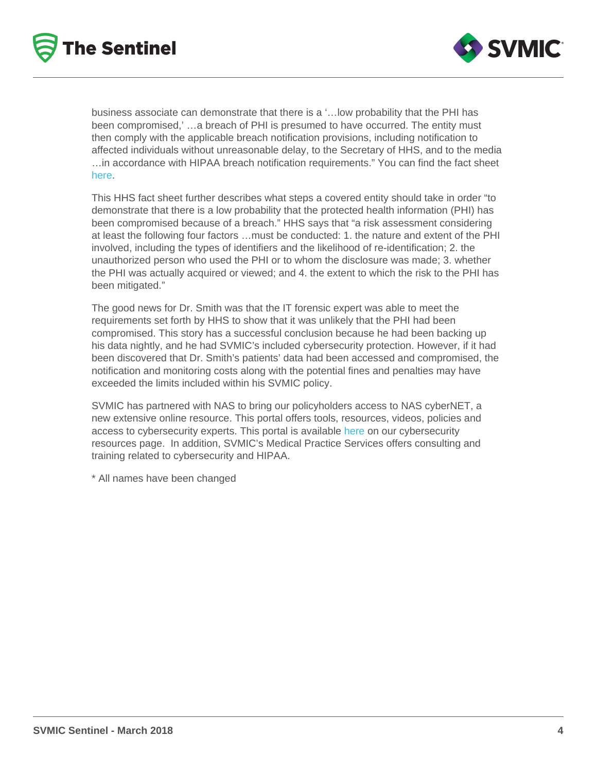business associate can demonstrate that there is a '…low probability that the PHI has been compromised,' …a breach of PHI is presumed to have occurred. The entity must then comply with the applicable breach notification provisions, including notification to affected individuals without unreasonable delay, to the Secretary of HHS, and to the media …in accordance with HIPAA breach notification requirements." You can find the fact sheet [here](https://www.hhs.gov/sites/default/files/RansomwareFactSheet.pdf).

This HHS fact sheet further describes what steps a covered entity should take in order "to demonstrate that there is a low probability that the protected health information (PHI) has been compromised because of a breach." HHS says that "a risk assessment considering at least the following four factors …must be conducted: 1. the nature and extent of the PHI involved, including the types of identifiers and the likelihood of re-identification; 2. the unauthorized person who used the PHI or to whom the disclosure was made; 3. whether the PHI was actually acquired or viewed; and 4. the extent to which the risk to the PHI has been mitigated."

The good news for Dr. Smith was that the IT forensic expert was able to meet the requirements set forth by HHS to show that it was unlikely that the PHI had been compromised. This story has a successful conclusion because he had been backing up his data nightly, and he had SVMIC's included cybersecurity protection. However, if it had been discovered that Dr. Smith's patients' data had been accessed and compromised, the notification and monitoring costs along with the potential fines and penalties may have exceeded the limits included within his SVMIC policy.

SVMIC has partnered with NAS to bring our policyholders access to NAS cyberNET, a new extensive online resource. This portal offers tools, resources, videos, policies and access to cybersecurity experts. This portal is available [here](/resources/cyber-security) on our cybersecurity resources page. In addition, SVMIC's Medical Practice Services offers consulting and training related to cybersecurity and HIPAA.

\* All names have been changed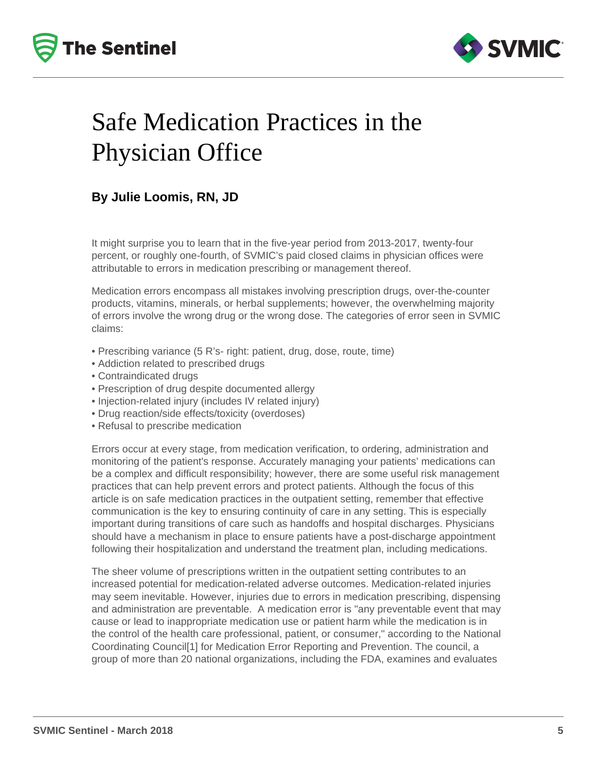



## Safe Medication Practices in the Physician Office

### **By Julie Loomis, RN, JD**

It might surprise you to learn that in the five-year period from 2013-2017, twenty-four percent, or roughly one-fourth, of SVMIC's paid closed claims in physician offices were attributable to errors in medication prescribing or management thereof.

Medication errors encompass all mistakes involving prescription drugs, over-the-counter products, vitamins, minerals, or herbal supplements; however, the overwhelming majority of errors involve the wrong drug or the wrong dose. The categories of error seen in SVMIC claims:

- Prescribing variance (5 R's- right: patient, drug, dose, route, time)
- Addiction related to prescribed drugs
- Contraindicated drugs
- Prescription of drug despite documented allergy
- Injection-related injury (includes IV related injury)
- Drug reaction/side effects/toxicity (overdoses)
- Refusal to prescribe medication

Errors occur at every stage, from medication verification, to ordering, administration and monitoring of the patient's response. Accurately managing your patients' medications can be a complex and difficult responsibility; however, there are some useful risk management practices that can help prevent errors and protect patients. Although the focus of this article is on safe medication practices in the outpatient setting, remember that effective communication is the key to ensuring continuity of care in any setting. This is especially important during transitions of care such as handoffs and hospital discharges. Physicians should have a mechanism in place to ensure patients have a post-discharge appointment following their hospitalization and understand the treatment plan, including medications.

The sheer volume of prescriptions written in the outpatient setting contributes to an increased potential for medication-related adverse outcomes. Medication-related injuries may seem inevitable. However, injuries due to errors in medication prescribing, dispensing and administration are preventable. A medication error is "any preventable event that may cause or lead to inappropriate medication use or patient harm while the medication is in the control of the health care professional, patient, or consumer," according to the National Coordinating Council[1] for Medication Error Reporting and Prevention. The council, a group of more than 20 national organizations, including the FDA, examines and evaluates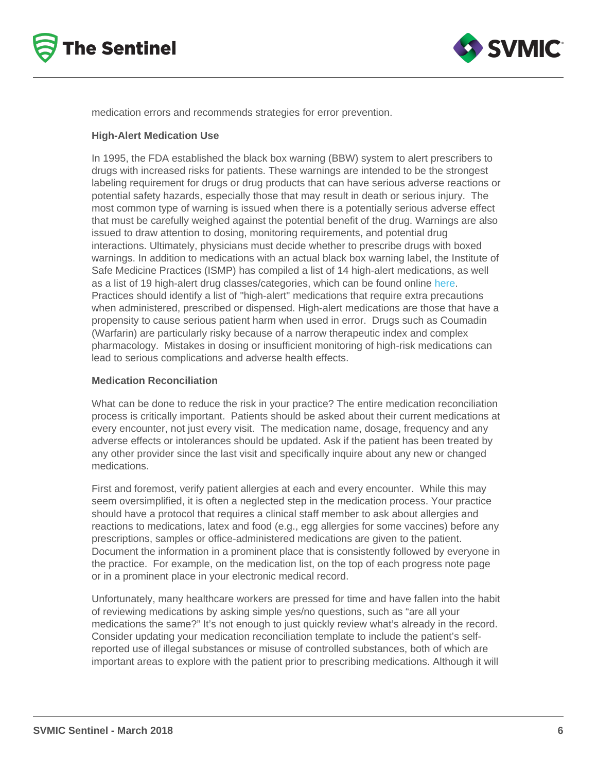medication errors and recommends strategies for error prevention.

#### High-Alert Medication Use

In 1995, the FDA established the black box warning (BBW) system to alert prescribers to drugs with increased risks for patients. These warnings are intended to be the strongest labeling requirement for drugs or drug products that can have serious adverse reactions or potential safety hazards, especially those that may result in death or serious injury. The most common type of warning is issued when there is a potentially serious adverse effect that must be carefully weighed against the potential benefit of the drug. Warnings are also issued to draw attention to dosing, monitoring requirements, and potential drug interactions. Ultimately, physicians must decide whether to prescribe drugs with boxed warnings. In addition to medications with an actual black box warning label, the Institute of Safe Medicine Practices (ISMP) has compiled a list of 14 high-alert medications, as well as a list of 19 high-alert drug classes/categories, which can be found online [here.](http://www.ismp.org/Tools/highalertmedications.pdf) Practices should identify a list of "high-alert" medications that require extra precautions when administered, prescribed or dispensed. High-alert medications are those that have a propensity to cause serious patient harm when used in error. Drugs such as Coumadin (Warfarin) are particularly risky because of a narrow therapeutic index and complex pharmacology. Mistakes in dosing or insufficient monitoring of high-risk medications can lead to serious complications and adverse health effects.

#### Medication Reconciliation

What can be done to reduce the risk in your practice? The entire medication reconciliation process is critically important. Patients should be asked about their current medications at every encounter, not just every visit. The medication name, dosage, frequency and any adverse effects or intolerances should be updated. Ask if the patient has been treated by any other provider since the last visit and specifically inquire about any new or changed medications.

First and foremost, verify patient allergies at each and every encounter. While this may seem oversimplified, it is often a neglected step in the medication process. Your practice should have a protocol that requires a clinical staff member to ask about allergies and reactions to medications, latex and food (e.g., egg allergies for some vaccines) before any prescriptions, samples or office-administered medications are given to the patient. Document the information in a prominent place that is consistently followed by everyone in the practice. For example, on the medication list, on the top of each progress note page or in a prominent place in your electronic medical record.

Unfortunately, many healthcare workers are pressed for time and have fallen into the habit of reviewing medications by asking simple yes/no questions, such as "are all your medications the same?" It's not enough to just quickly review what's already in the record. Consider updating your medication reconciliation template to include the patient's selfreported use of illegal substances or misuse of controlled substances, both of which are important areas to explore with the patient prior to prescribing medications. Although it will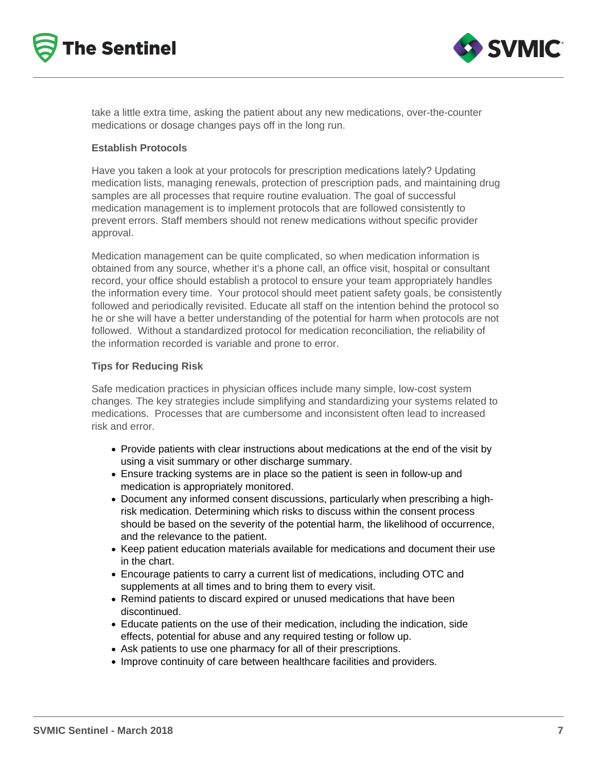



take a little extra time, asking the patient about any new medications, over-the-counter medications or dosage changes pays off in the long run.

#### **Establish Protocols**

Have you taken a look at your protocols for prescription medications lately? Updating medication lists, managing renewals, protection of prescription pads, and maintaining drug samples are all processes that require routine evaluation. The goal of successful medication management is to implement protocols that are followed consistently to prevent errors. Staff members should not renew medications without specific provider approval.

Medication management can be quite complicated, so when medication information is obtained from any source, whether it's a phone call, an office visit, hospital or consultant record, your office should establish a protocol to ensure your team appropriately handles the information every time. Your protocol should meet patient safety goals, be consistently followed and periodically revisited. Educate all staff on the intention behind the protocol so he or she will have a better understanding of the potential for harm when protocols are not followed. Without a standardized protocol for medication reconciliation, the reliability of the information recorded is variable and prone to error.

#### **Tips for Reducing Risk**

Safe medication practices in physician offices include many simple, low-cost system changes. The key strategies include simplifying and standardizing your systems related to medications. Processes that are cumbersome and inconsistent often lead to increased risk and error.

- Provide patients with clear instructions about medications at the end of the visit by using a visit summary or other discharge summary.
- Ensure tracking systems are in place so the patient is seen in follow-up and medication is appropriately monitored.
- Document any informed consent discussions, particularly when prescribing a highrisk medication. Determining which risks to discuss within the consent process should be based on the severity of the potential harm, the likelihood of occurrence, and the relevance to the patient.
- Keep patient education materials available for medications and document their use in the chart.
- Encourage patients to carry a current list of medications, including OTC and supplements at all times and to bring them to every visit.
- Remind patients to discard expired or unused medications that have been discontinued.
- Educate patients on the use of their medication, including the indication, side effects, potential for abuse and any required testing or follow up.
- Ask patients to use one pharmacy for all of their prescriptions.
- Improve continuity of care between healthcare facilities and providers.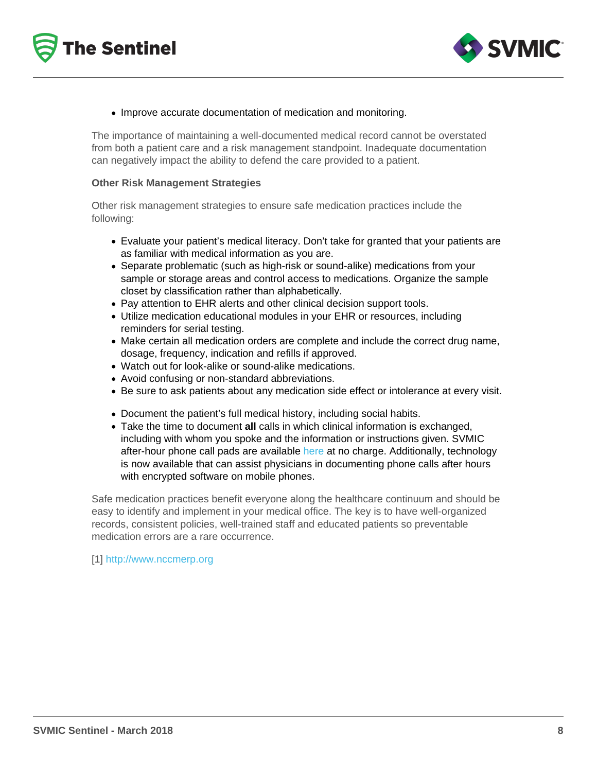#### • Improve accurate documentation of medication and monitoring.

The importance of maintaining a well-documented medical record cannot be overstated from both a patient care and a risk management standpoint. Inadequate documentation can negatively impact the ability to defend the care provided to a patient.

#### Other Risk Management Strategies

Other risk management strategies to ensure safe medication practices include the following:

- Evaluate your patient's medical literacy. Don't take for granted that your patients are as familiar with medical information as you are.
- Separate problematic (such as high-risk or sound-alike) medications from your sample or storage areas and control access to medications. Organize the sample closet by classification rather than alphabetically.
- Pay attention to EHR alerts and other clinical decision support tools.
- Utilize medication educational modules in your EHR or resources, including reminders for serial testing.
- Make certain all medication orders are complete and include the correct drug name, dosage, frequency, indication and refills if approved.
- Watch out for look-alike or sound-alike medications.
- Avoid confusing or non-standard abbreviations.
- Be sure to ask patients about any medication side effect or intolerance at every visit.
- Document the patient's full medical history, including social habits.
- Take the time to document all calls in which clinical information is exchanged, including with whom you spoke and the information or instructions given. SVMIC after-hour phone call pads are available [here](/resources/practice-management) at no charge. Additionally, technology is now available that can assist physicians in documenting phone calls after hours with encrypted software on mobile phones.

Safe medication practices benefit everyone along the healthcare continuum and should be easy to identify and implement in your medical office. The key is to have well-organized records, consistent policies, well-trained staff and educated patients so preventable medication errors are a rare occurrence.

[1] <http://www.nccmerp.org>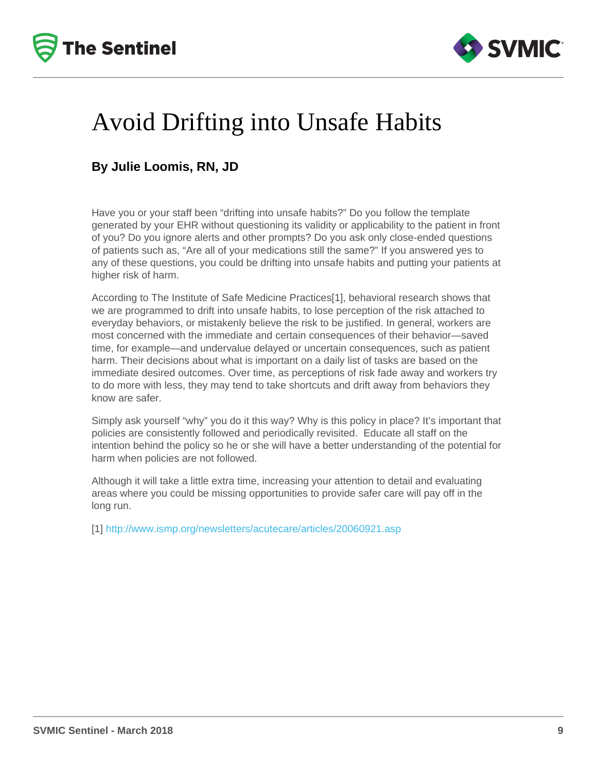# Avoid Drifting into Unsafe Habits

### By Julie Loomis, RN, JD

Have you or your staff been "drifting into unsafe habits?" Do you follow the template generated by your EHR without questioning its validity or applicability to the patient in front of you? Do you ignore alerts and other prompts? Do you ask only close-ended questions of patients such as, "Are all of your medications still the same?" If you answered yes to any of these questions, you could be drifting into unsafe habits and putting your patients at higher risk of harm.

According to The Institute of Safe Medicine Practices[1], behavioral research shows that we are programmed to drift into unsafe habits, to lose perception of the risk attached to everyday behaviors, or mistakenly believe the risk to be justified. In general, workers are most concerned with the immediate and certain consequences of their behavior—saved time, for example—and undervalue delayed or uncertain consequences, such as patient harm. Their decisions about what is important on a daily list of tasks are based on the immediate desired outcomes. Over time, as perceptions of risk fade away and workers try to do more with less, they may tend to take shortcuts and drift away from behaviors they know are safer.

Simply ask yourself "why" you do it this way? Why is this policy in place? It's important that policies are consistently followed and periodically revisited. Educate all staff on the intention behind the policy so he or she will have a better understanding of the potential for harm when policies are not followed.

Although it will take a little extra time, increasing your attention to detail and evaluating areas where you could be missing opportunities to provide safer care will pay off in the long run.

[1] <http://www.ismp.org/newsletters/acutecare/articles/20060921.asp>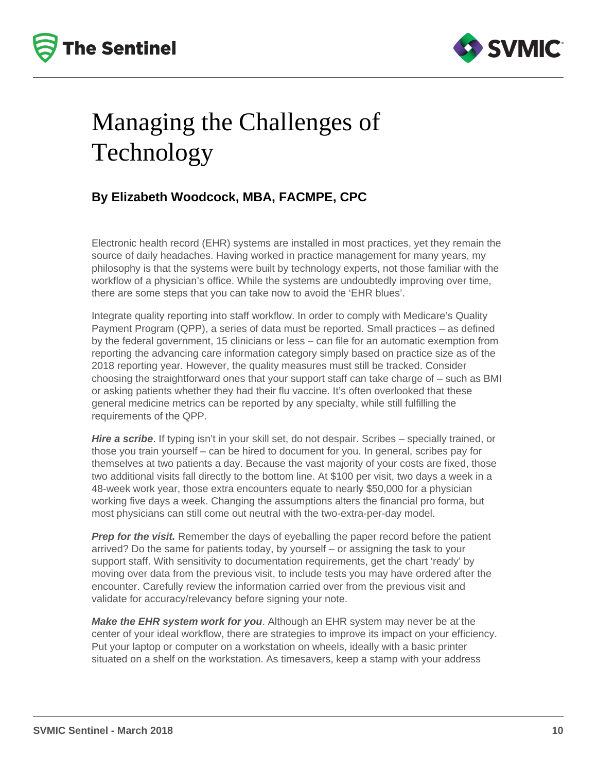



# Managing the Challenges of Technology

### **By Elizabeth Woodcock, MBA, FACMPE, CPC**

Electronic health record (EHR) systems are installed in most practices, yet they remain the source of daily headaches. Having worked in practice management for many years, my philosophy is that the systems were built by technology experts, not those familiar with the workflow of a physician's office. While the systems are undoubtedly improving over time, there are some steps that you can take now to avoid the 'EHR blues'.

Integrate quality reporting into staff workflow. In order to comply with Medicare's Quality Payment Program (QPP), a series of data must be reported. Small practices – as defined by the federal government, 15 clinicians or less – can file for an automatic exemption from reporting the advancing care information category simply based on practice size as of the 2018 reporting year. However, the quality measures must still be tracked. Consider choosing the straightforward ones that your support staff can take charge of – such as BMI or asking patients whether they had their flu vaccine. It's often overlooked that these general medicine metrics can be reported by any specialty, while still fulfilling the requirements of the QPP.

**Hire a scribe**. If typing isn't in your skill set, do not despair. Scribes – specially trained, or those you train yourself – can be hired to document for you. In general, scribes pay for themselves at two patients a day. Because the vast majority of your costs are fixed, those two additional visits fall directly to the bottom line. At \$100 per visit, two days a week in a 48-week work year, those extra encounters equate to nearly \$50,000 for a physician working five days a week. Changing the assumptions alters the financial pro forma, but most physicians can still come out neutral with the two-extra-per-day model.

**Prep for the visit.** Remember the days of eyeballing the paper record before the patient arrived? Do the same for patients today, by yourself – or assigning the task to your support staff. With sensitivity to documentation requirements, get the chart 'ready' by moving over data from the previous visit, to include tests you may have ordered after the encounter. Carefully review the information carried over from the previous visit and validate for accuracy/relevancy before signing your note.

**Make the EHR system work for you**. Although an EHR system may never be at the center of your ideal workflow, there are strategies to improve its impact on your efficiency. Put your laptop or computer on a workstation on wheels, ideally with a basic printer situated on a shelf on the workstation. As timesavers, keep a stamp with your address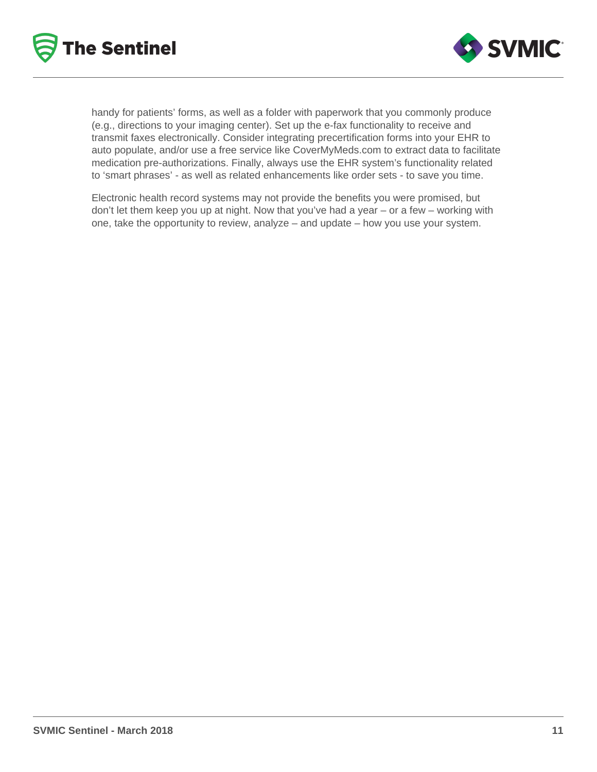



handy for patients' forms, as well as a folder with paperwork that you commonly produce (e.g., directions to your imaging center). Set up the e-fax functionality to receive and transmit faxes electronically. Consider integrating precertification forms into your EHR to auto populate, and/or use a free service like CoverMyMeds.com to extract data to facilitate medication pre-authorizations. Finally, always use the EHR system's functionality related to 'smart phrases' - as well as related enhancements like order sets - to save you time.

Electronic health record systems may not provide the benefits you were promised, but don't let them keep you up at night. Now that you've had a year – or a few – working with one, take the opportunity to review, analyze – and update – how you use your system.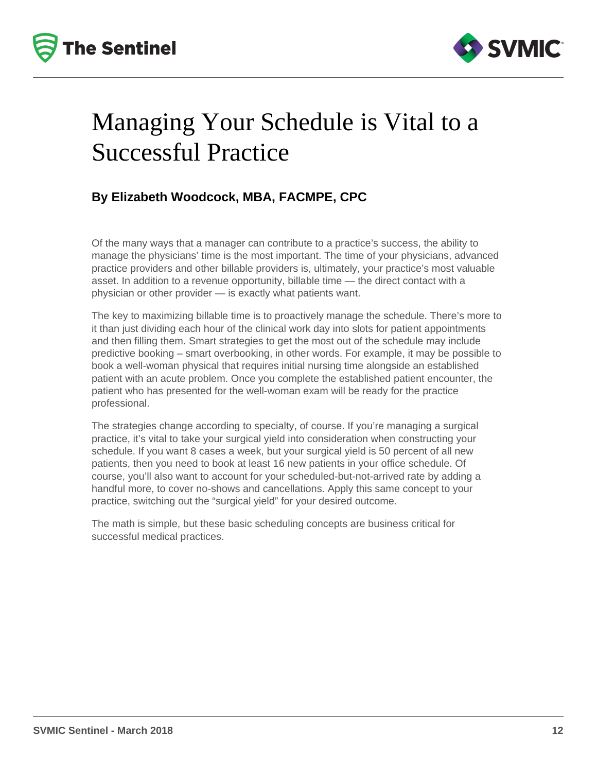



## Managing Your Schedule is Vital to a Successful Practice

### **By Elizabeth Woodcock, MBA, FACMPE, CPC**

Of the many ways that a manager can contribute to a practice's success, the ability to manage the physicians' time is the most important. The time of your physicians, advanced practice providers and other billable providers is, ultimately, your practice's most valuable asset. In addition to a revenue opportunity, billable time — the direct contact with a physician or other provider — is exactly what patients want.

The key to maximizing billable time is to proactively manage the schedule. There's more to it than just dividing each hour of the clinical work day into slots for patient appointments and then filling them. Smart strategies to get the most out of the schedule may include predictive booking – smart overbooking, in other words. For example, it may be possible to book a well-woman physical that requires initial nursing time alongside an established patient with an acute problem. Once you complete the established patient encounter, the patient who has presented for the well-woman exam will be ready for the practice professional.

The strategies change according to specialty, of course. If you're managing a surgical practice, it's vital to take your surgical yield into consideration when constructing your schedule. If you want 8 cases a week, but your surgical yield is 50 percent of all new patients, then you need to book at least 16 new patients in your office schedule. Of course, you'll also want to account for your scheduled-but-not-arrived rate by adding a handful more, to cover no-shows and cancellations. Apply this same concept to your practice, switching out the "surgical yield" for your desired outcome.

The math is simple, but these basic scheduling concepts are business critical for successful medical practices.